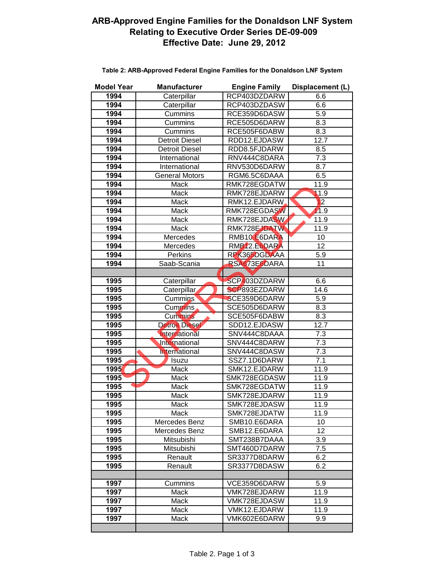## **ARB-Approved Engine Families for the Donaldson LNF System Relating to Executive Order Series DE-09-009 Effective Date: June 29, 2012**

| <b>Model Year</b> | <b>Manufacturer</b>   | <b>Engine Family</b> | Displacement (L) |
|-------------------|-----------------------|----------------------|------------------|
| 1994              | Caterpillar           | RCP403DZDARW         | 6.6              |
| 1994              | Caterpillar           | RCP403DZDASW         | 6.6              |
| 1994              | Cummins               | RCE359D6DASW         | 5.9              |
| 1994              | Cummins               | RCE505D6DARW         | 8.3              |
| 1994              | Cummins               | RCE505F6DABW         | 8.3              |
| 1994              | <b>Detroit Diesel</b> | RDD12.EJDASW         | 12.7             |
| 1994              | <b>Detroit Diesel</b> | RDD8.5FJDARW         | 8.5              |
| 1994              | International         | RNV444C8DARA         | 7.3              |
| 1994              | International         | RNV530D6DARW         | 8.7              |
| 1994              | <b>General Motors</b> | RGM6.5C6DAAA         | 6.5              |
| 1994              | Mack                  | RMK728EGDATW         | 11.9             |
| 1994              | Mack                  | RMK728EJDARW         | 11.9             |
| 1994              | Mack                  | RMK12.EJDARW         | 12               |
| 1994              | Mack                  | RMK728EGDASW         | 11.9             |
| 1994              | Mack                  | RMK728EJDASW         | 11.9             |
| 1994              | Mack                  | RMK728EJDATW         | 11.9             |
| 1994              | Mercedes              | RMB10, E6DARA        | 10               |
| 1994              | Mercedes              | RMB12.E6DARA         | $\overline{12}$  |
| 1994              | Perkins               | RPK365DGDAAA         | 5.9              |
| 1994              | Saab-Scania           | RSA673E6DARA         | 11               |
|                   |                       |                      |                  |
| 1995              | Caterpillar           | SCP403DZDARW         | 6.6              |
| 1995              | Caterpillar           | <b>SCP893EZDARW</b>  | 14.6             |
| 1995              | <b>Cummins</b>        | SCE359D6DARW         | 5.9              |
| 1995              | Cummins               | SCE505D6DARW         | 8.3              |
| 1995              | <b>Cummins</b>        | SCE505F6DABW         | 8.3              |
| 1995              | <b>Detroit Diesel</b> | SDD12.EJDASW         | 12.7             |
| 1995              | International         | SNV444C8DAAA         | $\overline{7.3}$ |
| 1995              | International         | SNV444C8DARW         | 7.3              |
| 1995              | International         | SNV444C8DASW         | 7.3              |
| 1995              | Isuzu                 | SSZ7.1D6DARW         | 7.1              |
| 1995              | Mack                  | SMK12.EJDARW         | 11.9             |
| 1995              | Mack                  | SMK728EGDASW         | 11.9             |
| 1995              | Mack                  | SMK728EGDATW         | 11.9             |
| 1995              | Mack                  | SMK728EJDARW         | 11.9             |
| 1995              | Mack                  | SMK728EJDASW         | 11.9             |
| 1995              | Mack                  | SMK728EJDATW         | 11.9             |
| 1995              | Mercedes Benz         | SMB10.E6DARA         | 10               |
| 1995              | Mercedes Benz         | SMB12.E6DARA         | 12               |
| 1995              | Mitsubishi            | SMT238B7DAAA         | 3.9              |
| 1995              | Mitsubishi            | SMT460D7DARW         | 7.5              |
| 1995              | Renault               | SR3377D8DARW         | 6.2              |
| 1995              | Renault               | SR3377D8DASW         | 6.2              |
|                   |                       |                      |                  |
| 1997              | Cummins               | VCE359D6DARW         | 5.9              |
| 1997              | Mack                  | VMK728EJDARW         | 11.9             |
| 1997              | Mack                  | VMK728EJDASW         | 11.9             |
| 1997              | Mack                  | VMK12.EJDARW         | 11.9             |
| 1997              | Mack                  | VMK602E6DARW         | 9.9              |
|                   |                       |                      |                  |

## **Table 2: ARB-Approved Federal Engine Families for the Donaldson LNF System**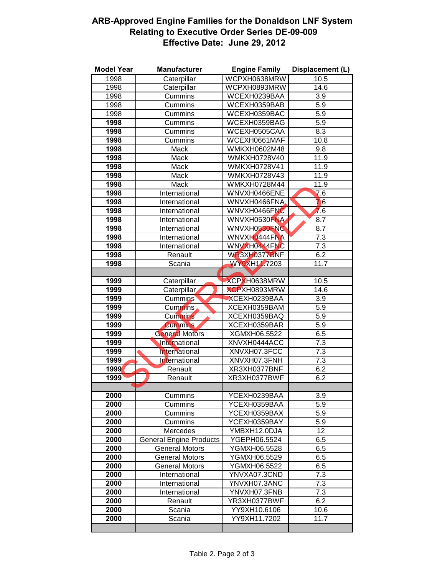## **ARB-Approved Engine Families for the Donaldson LNF System Relating to Executive Order Series DE-09-009 Effective Date: June 29, 2012**

| <b>Model Year</b> | <b>Manufacturer</b>            | <b>Engine Family</b> | Displacement (L) |
|-------------------|--------------------------------|----------------------|------------------|
| 1998              | Caterpillar                    | WCPXH0638MRW         | 10.5             |
| 1998              | Caterpillar                    | WCPXH0893MRW         | 14.6             |
| 1998              | Cummins                        | WCEXH0239BAA         | 3.9              |
| 1998              | Cummins                        | WCEXH0359BAB         | 5.9              |
| 1998              | Cummins                        | WCEXH0359BAC         | 5.9              |
| 1998              | Cummins                        | WCEXH0359BAG         | $\overline{5.9}$ |
| 1998              | Cummins                        | WCEXH0505CAA         | $\overline{8.3}$ |
| 1998              | Cummins                        | WCEXH0661MAF         | 10.8             |
| 1998              | Mack                           | WMKXH0602M48         | 9.8              |
| 1998              | Mack                           | WMKXH0728V40         | 11.9             |
| 1998              | <b>Mack</b>                    | WMKXH0728V41         | 11.9             |
| 1998              | <b>Mack</b>                    | WMKXH0728V43         | 11.9             |
| 1998              | Mack                           | <b>WMKXH0728M44</b>  | 11.9             |
| 1998              | International                  | WNVXH0466ENE         | $\overline{7.6}$ |
| 1998              | International                  | WNVXH0466FNA         | 7.6              |
| 1998              | International                  | WNVXH0466FNC         | 76               |
| 1998              | International                  | WNVXH0530FNA         | 8.7              |
| 1998              | International                  | WNVXH0530FNC         | 8.7              |
| 1998              | International                  | WNVXH0444FNA         | 7.3              |
| 1998              | International                  | WNVXH0444FNC         | 7.3              |
| 1998              | Renault                        | WR3XH0377BNF         | 6.2              |
| 1998              | Scania                         | WY9XH11.7203         | 11.7             |
|                   |                                |                      |                  |
| 1999              | Caterpillar                    | XCPXH0638MRW         | 10.5             |
| 1999              | Caterpillar                    | <b>XCPXH0893MRW</b>  | 14.6             |
| 1999              | <b>Cummins</b>                 | XCEXH0239BAA         | 3.9              |
| 1999              | Cummins                        | XCEXH0359BAM         | 5.9              |
| 1999              | <b>Cummins</b>                 | XCEXH0359BAQ         | 5.9              |
| 1999              | <b>Cummins</b>                 | XCEXH0359BAR         | 5.9              |
| 1999              | <b>General Motors</b>          | XGMXH06.5522         | 6.5              |
| 1999              | International                  | XNVXH0444ACC         | 7.3              |
| 1999              | International                  | XNVXH07.3FCC         | $\overline{7.3}$ |
| 1999              | International                  | XNVXH07.3FNH         | 7.3              |
| 1999              | Renault                        | XR3XH0377BNF         | 6.2              |
| 1999              | Renault                        | XR3XH0377BWF         | 6.2              |
|                   |                                |                      |                  |
| 2000              | Cummins                        | YCEXH0239BAA         | 3.9              |
| 2000              | Cummins                        | YCEXH0359BAA         | 5.9              |
| 2000              | Cummins                        | YCEXH0359BAX         | 5.9              |
| 2000              | Cummins                        | YCEXH0359BAY         | 5.9              |
| 2000              | Mercedes                       | YMBXH12.0DJA         | 12               |
| 2000              | <b>General Engine Products</b> | YGEPH06.5524         | 6.5              |
| 2000              | <b>General Motors</b>          | YGMXH06.5528         | 6.5              |
| 2000              | <b>General Motors</b>          | YGMXH06.5529         | 6.5              |
| 2000              | <b>General Motors</b>          | YGMXH06.5522         | 6.5              |
| 2000              | International                  | YNVXA07.3CND         | 7.3              |
| 2000              | International                  | YNVXH07.3ANC         | $7.\overline{3}$ |
| 2000              | International                  | YNVXH07.3FNB         | 7.3              |
| 2000              | Renault                        | YR3XH0377BWF         | 6.2              |
| 2000              | Scania                         | YY9XH10.6106         | 10.6             |
| 2000              | Scania                         | YY9XH11.7202         | 11.7             |
|                   |                                |                      |                  |